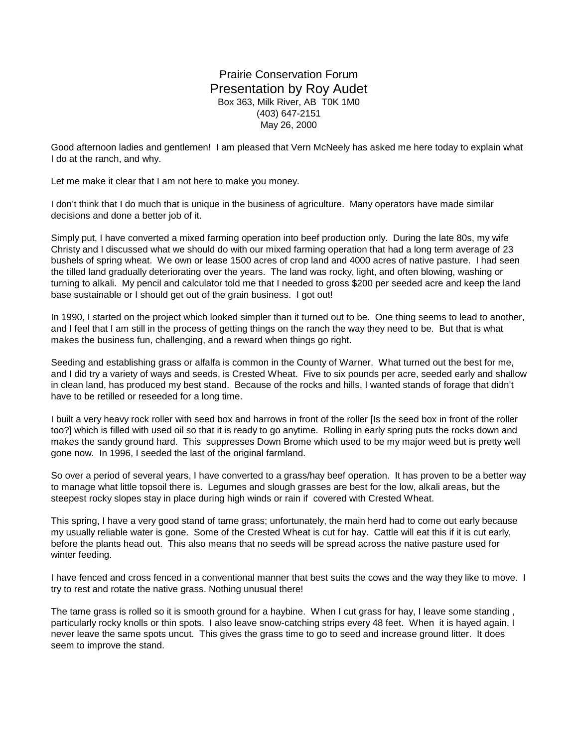## Prairie Conservation Forum Presentation by Roy Audet Box 363, Milk River, AB T0K 1M0 (403) 647-2151 May 26, 2000

Good afternoon ladies and gentlemen! I am pleased that Vern McNeely has asked me here today to explain what I do at the ranch, and why.

Let me make it clear that I am not here to make you money.

I don't think that I do much that is unique in the business of agriculture. Many operators have made similar decisions and done a better job of it.

Simply put, I have converted a mixed farming operation into beef production only. During the late 80s, my wife Christy and I discussed what we should do with our mixed farming operation that had a long term average of 23 bushels of spring wheat. We own or lease 1500 acres of crop land and 4000 acres of native pasture. I had seen the tilled land gradually deteriorating over the years. The land was rocky, light, and often blowing, washing or turning to alkali. My pencil and calculator told me that I needed to gross \$200 per seeded acre and keep the land base sustainable or I should get out of the grain business. I got out!

In 1990, I started on the project which looked simpler than it turned out to be. One thing seems to lead to another, and I feel that I am still in the process of getting things on the ranch the way they need to be. But that is what makes the business fun, challenging, and a reward when things go right.

Seeding and establishing grass or alfalfa is common in the County of Warner. What turned out the best for me, and I did try a variety of ways and seeds, is Crested Wheat. Five to six pounds per acre, seeded early and shallow in clean land, has produced my best stand. Because of the rocks and hills, I wanted stands of forage that didn't have to be retilled or reseeded for a long time.

I built a very heavy rock roller with seed box and harrows in front of the roller [Is the seed box in front of the roller too?] which is filled with used oil so that it is ready to go anytime. Rolling in early spring puts the rocks down and makes the sandy ground hard. This suppresses Down Brome which used to be my major weed but is pretty well gone now. In 1996, I seeded the last of the original farmland.

So over a period of several years, I have converted to a grass/hay beef operation. It has proven to be a better way to manage what little topsoil there is. Legumes and slough grasses are best for the low, alkali areas, but the steepest rocky slopes stay in place during high winds or rain if covered with Crested Wheat.

This spring, I have a very good stand of tame grass; unfortunately, the main herd had to come out early because my usually reliable water is gone. Some of the Crested Wheat is cut for hay. Cattle will eat this if it is cut early, before the plants head out. This also means that no seeds will be spread across the native pasture used for winter feeding.

I have fenced and cross fenced in a conventional manner that best suits the cows and the way they like to move. I try to rest and rotate the native grass. Nothing unusual there!

The tame grass is rolled so it is smooth ground for a haybine. When I cut grass for hay, I leave some standing , particularly rocky knolls or thin spots. I also leave snow-catching strips every 48 feet. When it is hayed again, I never leave the same spots uncut. This gives the grass time to go to seed and increase ground litter. It does seem to improve the stand.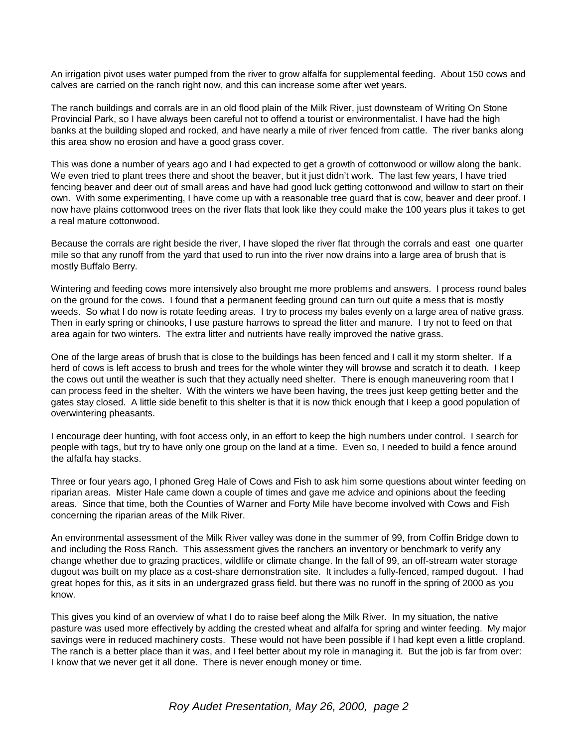An irrigation pivot uses water pumped from the river to grow alfalfa for supplemental feeding. About 150 cows and calves are carried on the ranch right now, and this can increase some after wet years.

The ranch buildings and corrals are in an old flood plain of the Milk River, just downsteam of Writing On Stone Provincial Park, so I have always been careful not to offend a tourist or environmentalist. I have had the high banks at the building sloped and rocked, and have nearly a mile of river fenced from cattle. The river banks along this area show no erosion and have a good grass cover.

This was done a number of years ago and I had expected to get a growth of cottonwood or willow along the bank. We even tried to plant trees there and shoot the beaver, but it just didn't work. The last few years, I have tried fencing beaver and deer out of small areas and have had good luck getting cottonwood and willow to start on their own. With some experimenting, I have come up with a reasonable tree guard that is cow, beaver and deer proof. I now have plains cottonwood trees on the river flats that look like they could make the 100 years plus it takes to get a real mature cottonwood.

Because the corrals are right beside the river, I have sloped the river flat through the corrals and east one quarter mile so that any runoff from the yard that used to run into the river now drains into a large area of brush that is mostly Buffalo Berry.

Wintering and feeding cows more intensively also brought me more problems and answers. I process round bales on the ground for the cows. I found that a permanent feeding ground can turn out quite a mess that is mostly weeds. So what I do now is rotate feeding areas. I try to process my bales evenly on a large area of native grass. Then in early spring or chinooks, I use pasture harrows to spread the litter and manure. I try not to feed on that area again for two winters. The extra litter and nutrients have really improved the native grass.

One of the large areas of brush that is close to the buildings has been fenced and I call it my storm shelter. If a herd of cows is left access to brush and trees for the whole winter they will browse and scratch it to death. I keep the cows out until the weather is such that they actually need shelter. There is enough maneuvering room that I can process feed in the shelter. With the winters we have been having, the trees just keep getting better and the gates stay closed. A little side benefit to this shelter is that it is now thick enough that I keep a good population of overwintering pheasants.

I encourage deer hunting, with foot access only, in an effort to keep the high numbers under control. I search for people with tags, but try to have only one group on the land at a time. Even so, I needed to build a fence around the alfalfa hay stacks.

Three or four years ago, I phoned Greg Hale of Cows and Fish to ask him some questions about winter feeding on riparian areas. Mister Hale came down a couple of times and gave me advice and opinions about the feeding areas. Since that time, both the Counties of Warner and Forty Mile have become involved with Cows and Fish concerning the riparian areas of the Milk River.

An environmental assessment of the Milk River valley was done in the summer of 99, from Coffin Bridge down to and including the Ross Ranch. This assessment gives the ranchers an inventory or benchmark to verify any change whether due to grazing practices, wildlife or climate change. In the fall of 99, an off-stream water storage dugout was built on my place as a cost-share demonstration site. It includes a fully-fenced, ramped dugout. I had great hopes for this, as it sits in an undergrazed grass field. but there was no runoff in the spring of 2000 as you know.

This gives you kind of an overview of what I do to raise beef along the Milk River. In my situation, the native pasture was used more effectively by adding the crested wheat and alfalfa for spring and winter feeding. My major savings were in reduced machinery costs. These would not have been possible if I had kept even a little cropland. The ranch is a better place than it was, and I feel better about my role in managing it. But the job is far from over: I know that we never get it all done. There is never enough money or time.